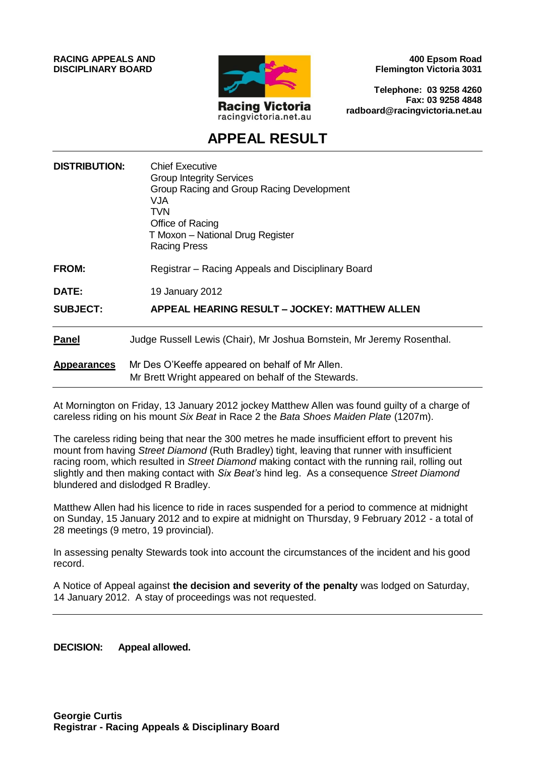**RACING APPEALS AND DISCIPLINARY BOARD**



**400 Epsom Road Flemington Victoria 3031**

**Telephone: 03 9258 4260 Fax: 03 9258 4848 radboard@racingvictoria.net.au**

# **APPEAL RESULT**

| <b>DISTRIBUTION:</b> | <b>Chief Executive</b><br><b>Group Integrity Services</b><br>Group Racing and Group Racing Development<br><b>VJA</b><br>TVN<br>Office of Racing<br>T Moxon - National Drug Register<br><b>Racing Press</b> |
|----------------------|------------------------------------------------------------------------------------------------------------------------------------------------------------------------------------------------------------|
| <b>FROM:</b>         | Registrar – Racing Appeals and Disciplinary Board                                                                                                                                                          |
| <b>DATE:</b>         | 19 January 2012                                                                                                                                                                                            |
| <b>SUBJECT:</b>      | APPEAL HEARING RESULT – JOCKEY: MATTHEW ALLEN                                                                                                                                                              |
| <b>Panel</b>         | Judge Russell Lewis (Chair), Mr Joshua Bornstein, Mr Jeremy Rosenthal.                                                                                                                                     |
| <b>Appearances</b>   | Mr Des O'Keeffe appeared on behalf of Mr Allen.<br>Mr Brett Wright appeared on behalf of the Stewards.                                                                                                     |

At Mornington on Friday, 13 January 2012 jockey Matthew Allen was found guilty of a charge of careless riding on his mount *Six Beat* in Race 2 the *Bata Shoes Maiden Plate* (1207m).

The careless riding being that near the 300 metres he made insufficient effort to prevent his mount from having *Street Diamond* (Ruth Bradley) tight, leaving that runner with insufficient racing room, which resulted in *Street Diamond* making contact with the running rail, rolling out slightly and then making contact with *Six Beat's* hind leg. As a consequence *Street Diamond* blundered and dislodged R Bradley.

Matthew Allen had his licence to ride in races suspended for a period to commence at midnight on Sunday, 15 January 2012 and to expire at midnight on Thursday, 9 February 2012 - a total of 28 meetings (9 metro, 19 provincial).

In assessing penalty Stewards took into account the circumstances of the incident and his good record.

A Notice of Appeal against **the decision and severity of the penalty** was lodged on Saturday, 14 January 2012. A stay of proceedings was not requested.

**DECISION: Appeal allowed.**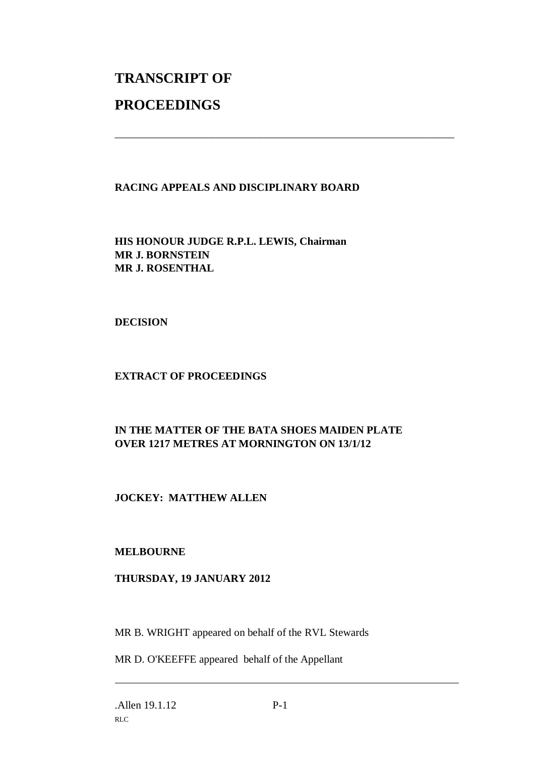# **TRANSCRIPT OF PROCEEDINGS**

### **RACING APPEALS AND DISCIPLINARY BOARD**

\_\_\_\_\_\_\_\_\_\_\_\_\_\_\_\_\_\_\_\_\_\_\_\_\_\_\_\_\_\_\_\_\_\_\_\_\_\_\_\_\_\_\_\_\_\_\_\_\_\_\_\_\_\_\_\_\_\_\_\_\_\_\_

**HIS HONOUR JUDGE R.P.L. LEWIS, Chairman MR J. BORNSTEIN MR J. ROSENTHAL**

**DECISION**

#### **EXTRACT OF PROCEEDINGS**

# **IN THE MATTER OF THE BATA SHOES MAIDEN PLATE OVER 1217 METRES AT MORNINGTON ON 13/1/12**

## **JOCKEY: MATTHEW ALLEN**

#### **MELBOURNE**

#### **THURSDAY, 19 JANUARY 2012**

MR B. WRIGHT appeared on behalf of the RVL Stewards

MR D. O'KEEFFE appeared behalf of the Appellant